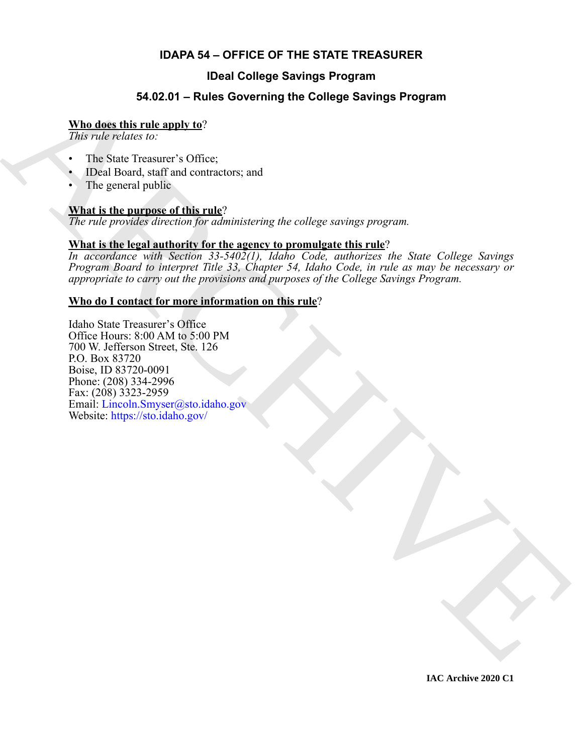### **IDAPA 54 – OFFICE OF THE STATE TREASURER**

### **IDeal College Savings Program**

#### **54.02.01 – Rules Governing the College Savings Program**

#### **Who does this rule apply to**?

*This rule relates to:*

- The State Treasurer's Office:
- IDeal Board, staff and contractors; and
- The general public

#### **What is the purpose of this rule**?

*The rule provides direction for administering the college savings program.*

#### **What is the legal authority for the agency to promulgate this rule**?

*In accordance with Section 33-5402(1), Idaho Code, authorizes the State College Savings Program Board to interpret Title 33, Chapter 54, Idaho Code, in rule as may be necessary or appropriate to carry out the provisions and purposes of the College Savings Program.*

#### **Who do I contact for more information on this rule**?

**54.02.01 – Rules Governing the College Savings Program<br>
This rate relation to:**<br>
This rate relation to the<br>
This rate relation to the contractors and<br>
The relation sufficient of this relation is and<br>
The relationship of Idaho State Treasurer's Office Office Hours: 8:00 AM to 5:00 PM 700 W. Jefferson Street, Ste. 126 P.O. Box 83720 Boise, ID 83720-0091 Phone: (208) 334-2996 Fax: (208) 3323-2959 Email: Lincoln.Smyser@sto.idaho.gov Website: https://sto.idaho.gov/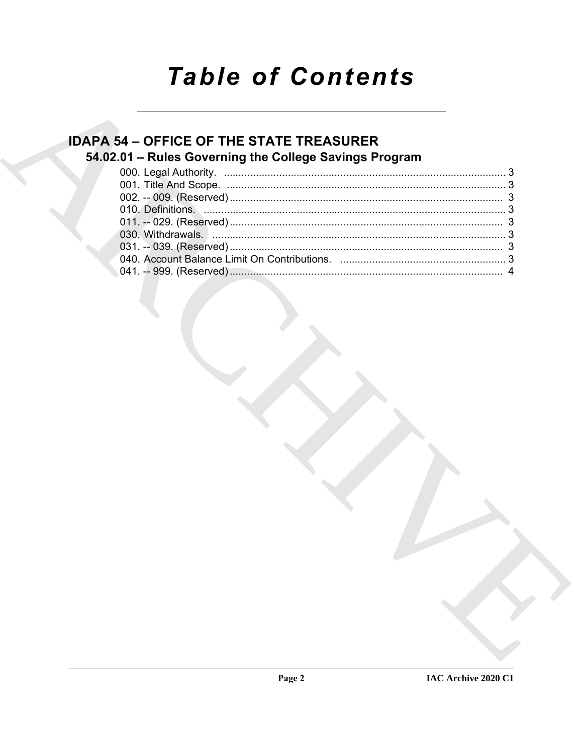# **Table of Contents**

### **IDAPA 54 - OFFICE OF THE STATE TREASURER** 54.02.01 - Rules Governing the College Savings Program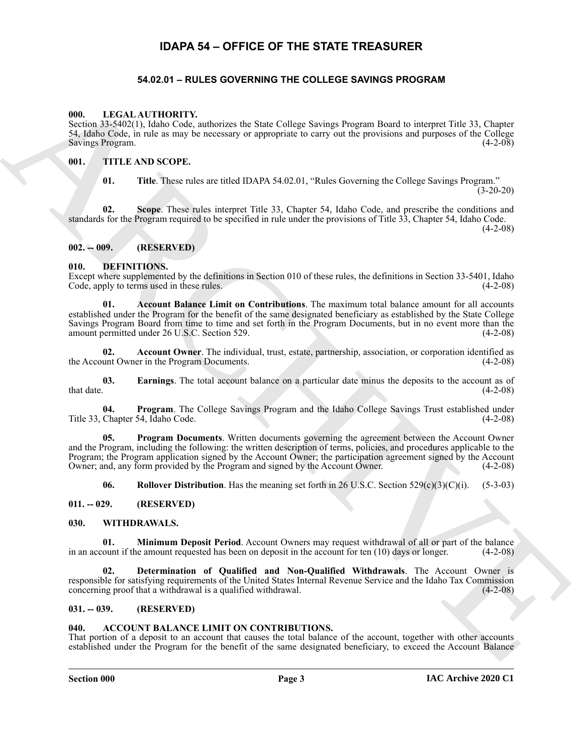#### **IDAPA 54 – OFFICE OF THE STATE TREASURER**

#### **54.02.01 – RULES GOVERNING THE COLLEGE SAVINGS PROGRAM**

#### <span id="page-2-18"></span><span id="page-2-2"></span><span id="page-2-1"></span><span id="page-2-0"></span>**000. LEGAL AUTHORITY.**

Section 33-5402(1), Idaho Code, authorizes the State College Savings Program Board to interpret Title 33, Chapter 54, Idaho Code, in rule as may be necessary or appropriate to carry out the provisions and purposes of the College Savings Program.

#### <span id="page-2-3"></span>**001. TITLE AND SCOPE.**

<span id="page-2-19"></span>**01. Title**. These rules are titled IDAPA 54.02.01, "Rules Governing the College Savings Program."  $(3-20-20)$ 

**02. Scope**. These rules interpret Title 33, Chapter 54, Idaho Code, and prescribe the conditions and standards for the Program required to be specified in rule under the provisions of Title 33, Chapter 54, Idaho Code.

 $(4-2-08)$ 

#### <span id="page-2-4"></span>**002. -- 009. (RESERVED)**

#### <span id="page-2-11"></span><span id="page-2-5"></span>**010. DEFINITIONS.**

<span id="page-2-12"></span>Except where supplemented by the definitions in Section 010 of these rules, the definitions in Section 33-5401, Idaho Code, apply to terms used in these rules. (4-2-08)

**(98)**<br> **EXAMPLE DEFEND IN A SHOT COMPARTY CONTROL** CONTROL CONTROL CONTROL CONTROL CONTROL CONTROL CONTROL CONTROL CONTROL CONTROL CONTROL CONTROL CONTROL CONTROL CONTROL CONTROL CONTROL CONTROL CONTROL CONTROL CONTROL C **01. Account Balance Limit on Contributions**. The maximum total balance amount for all accounts established under the Program for the benefit of the same designated beneficiary as established by the State College Savings Program Board from time to time and set forth in the Program Documents, but in no event more than the amount permitted under 26 U.S.C. Section 529. (4-2-08)

<span id="page-2-13"></span>**02. Account Owner**. The individual, trust, estate, partnership, association, or corporation identified as the Account Owner in the Program Documents. (4-2-08)

<span id="page-2-14"></span>**03. Earnings**. The total account balance on a particular date minus the deposits to the account as of that date. (4-2-08)  $t$ hat date.  $(4-2-08)$ 

<span id="page-2-15"></span>**04. Program**. The College Savings Program and the Idaho College Savings Trust established under Title 33, Chapter 54, Idaho Code. (4-2-08)

**05. Program Documents**. Written documents governing the agreement between the Account Owner and the Program, including the following: the written description of terms, policies, and procedures applicable to the Program; the Program application signed by the Account Owner; the participation agreement signed by the Account Owner; and, any form provided by the Program and signed by the Account Owner. (4-2-08)

<span id="page-2-22"></span><span id="page-2-20"></span><span id="page-2-17"></span><span id="page-2-16"></span>**06. Rollover Distribution**. Has the meaning set forth in 26 U.S.C. Section 529(c)(3)(C)(i). (5-3-03)

<span id="page-2-6"></span>**011. -- 029. (RESERVED)**

#### <span id="page-2-7"></span>**030. WITHDRAWALS.**

**01. Minimum Deposit Period**. Account Owners may request withdrawal of all or part of the balance in an account if the amount requested has been on deposit in the account for ten (10) days or longer. (4-2-08)

<span id="page-2-21"></span>**02. Determination of Qualified and Non-Qualified Withdrawals**. The Account Owner is responsible for satisfying requirements of the United States Internal Revenue Service and the Idaho Tax Commission concerning proof that a withdrawal is a qualified withdrawal. (4-2-08)

#### <span id="page-2-8"></span>**031. -- 039. (RESERVED)**

#### <span id="page-2-10"></span><span id="page-2-9"></span>**040. ACCOUNT BALANCE LIMIT ON CONTRIBUTIONS.**

That portion of a deposit to an account that causes the total balance of the account, together with other accounts established under the Program for the benefit of the same designated beneficiary, to exceed the Account Balance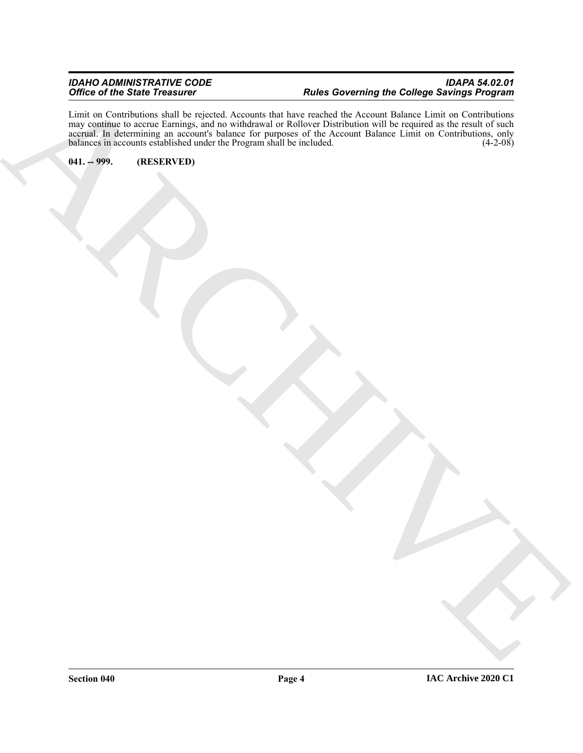#### *IDAHO ADMINISTRATIVE CODE IDAPA 54.02.01 Office of the State Treasurer Rules Governing the College Savings Program*

ARCHIVE Limit on Contributions shall be rejected. Accounts that have reached the Account Balance Limit on Contributions may continue to accrue Earnings, and no withdrawal or Rollover Distribution will be required as the result of such accrual. In determining an account's balance for purposes of the Account Balance Limit on Contributions, only balances in accounts established under the Program shall be included. (4-2-08) balances in accounts established under the Program shall be included.

<span id="page-3-0"></span>**041. -- 999. (RESERVED)**